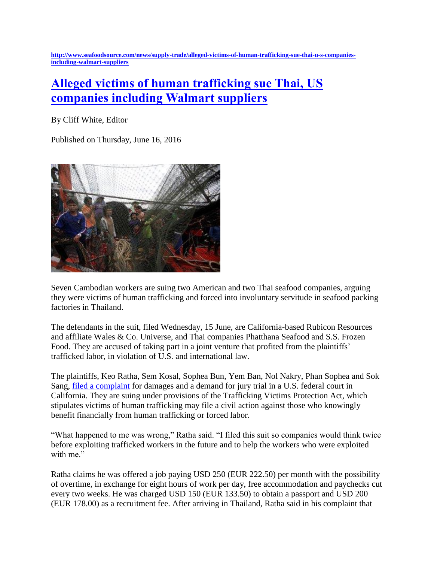**[http://www.seafoodsource.com/news/supply-trade/alleged-victims-of-human-trafficking-sue-thai-u-s-companies](http://www.seafoodsource.com/news/supply-trade/alleged-victims-of-human-trafficking-sue-thai-u-s-companies-including-walmart-suppliers)[including-walmart-suppliers](http://www.seafoodsource.com/news/supply-trade/alleged-victims-of-human-trafficking-sue-thai-u-s-companies-including-walmart-suppliers)**

## **[Alleged victims of human trafficking sue Thai, US](http://www.seafoodsource.com/news/supply-trade/alleged-victims-of-human-trafficking-sue-thai-u-s-companies-including-walmart-suppliers)  [companies including Walmart suppliers](http://www.seafoodsource.com/news/supply-trade/alleged-victims-of-human-trafficking-sue-thai-u-s-companies-including-walmart-suppliers)**

By Cliff White, Editor

Published on Thursday, June 16, 2016



Seven Cambodian workers are suing two American and two Thai seafood companies, arguing they were victims of human trafficking and forced into involuntary servitude in seafood packing factories in Thailand.

The defendants in the suit, filed Wednesday, 15 June, are California-based Rubicon Resources and affiliate Wales & Co. Universe, and Thai companies Phatthana Seafood and S.S. Frozen Food. They are accused of taking part in a joint venture that profited from the plaintiffs' trafficked labor, in violation of U.S. and international law.

The plaintiffs, Keo Ratha, Sem Kosal, Sophea Bun, Yem Ban, Nol Nakry, Phan Sophea and Sok Sang, [filed a complaint](http://www.cohenmilstein.com/sites/default/files/media.9400.pdf) for damages and a demand for jury trial in a U.S. federal court in California. They are suing under provisions of the Trafficking Victims Protection Act, which stipulates victims of human trafficking may file a civil action against those who knowingly benefit financially from human trafficking or forced labor.

"What happened to me was wrong," Ratha said. "I filed this suit so companies would think twice before exploiting trafficked workers in the future and to help the workers who were exploited with me."

Ratha claims he was offered a job paying USD 250 (EUR 222.50) per month with the possibility of overtime, in exchange for eight hours of work per day, free accommodation and paychecks cut every two weeks. He was charged USD 150 (EUR 133.50) to obtain a passport and USD 200 (EUR 178.00) as a recruitment fee. After arriving in Thailand, Ratha said in his complaint that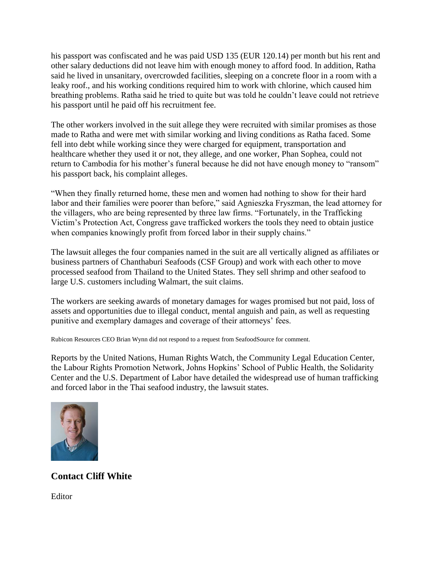his passport was confiscated and he was paid USD 135 (EUR 120.14) per month but his rent and other salary deductions did not leave him with enough money to afford food. In addition, Ratha said he lived in unsanitary, overcrowded facilities, sleeping on a concrete floor in a room with a leaky roof., and his working conditions required him to work with chlorine, which caused him breathing problems. Ratha said he tried to quite but was told he couldn't leave could not retrieve his passport until he paid off his recruitment fee.

The other workers involved in the suit allege they were recruited with similar promises as those made to Ratha and were met with similar working and living conditions as Ratha faced. Some fell into debt while working since they were charged for equipment, transportation and healthcare whether they used it or not, they allege, and one worker, Phan Sophea, could not return to Cambodia for his mother's funeral because he did not have enough money to "ransom" his passport back, his complaint alleges.

"When they finally returned home, these men and women had nothing to show for their hard labor and their families were poorer than before," said Agnieszka Fryszman, the lead attorney for the villagers, who are being represented by three law firms. "Fortunately, in the Trafficking Victim's Protection Act, Congress gave trafficked workers the tools they need to obtain justice when companies knowingly profit from forced labor in their supply chains."

The lawsuit alleges the four companies named in the suit are all vertically aligned as affiliates or business partners of Chanthaburi Seafoods (CSF Group) and work with each other to move processed seafood from Thailand to the United States. They sell shrimp and other seafood to large U.S. customers including Walmart, the suit claims.

The workers are seeking awards of monetary damages for wages promised but not paid, loss of assets and opportunities due to illegal conduct, mental anguish and pain, as well as requesting punitive and exemplary damages and coverage of their attorneys' fees.

Rubicon Resources CEO Brian Wynn did not respond to a request from SeafoodSource for comment.

Reports by the United Nations, Human Rights Watch, the Community Legal Education Center, the Labour Rights Promotion Network, Johns Hopkins' School of Public Health, the Solidarity Center and the U.S. Department of Labor have detailed the widespread use of human trafficking and forced labor in the Thai seafood industry, the lawsuit states.



## **Contact Cliff White**

Editor